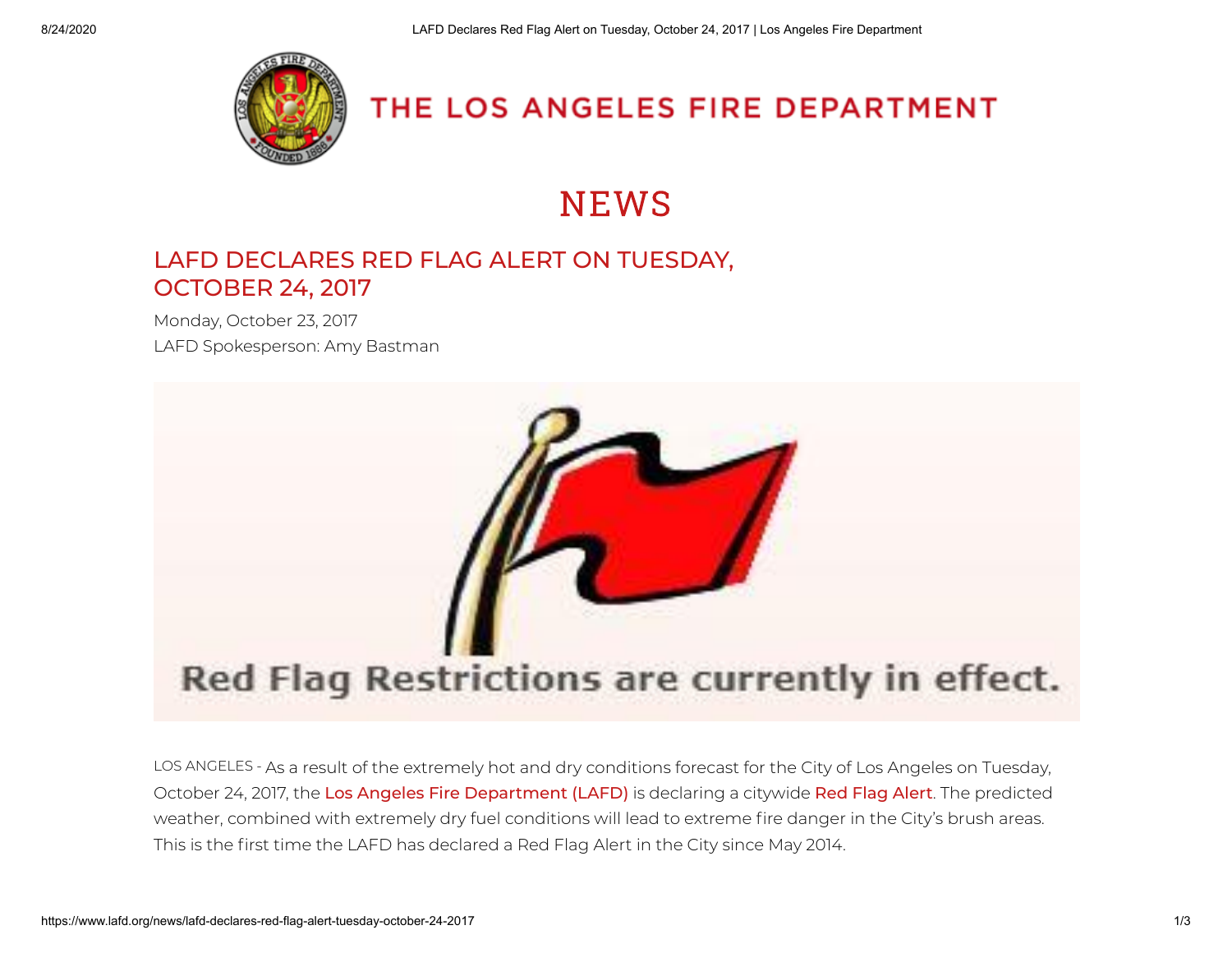

## THE LOS ANGELES FIRE DEPARTMENT

# **NEWS**

#### [LAFD DECLARES RED FLAG ALERT ON TUESDAY,](https://www.lafd.org/news/lafd-declares-red-flag-alert-tuesday-october-24-2017) OCTOBER 24, 2017

Monday, October 23, 2017 LAFD Spokesperson: Amy Bastman



LOS ANGELES - As a result of the extremely hot and dry conditions forecast for the City of Los Angeles on Tuesday, October 24, 2017, the [Los Angeles Fire Department \(LAFD\)](http://www.lafd.org/) is declaring a citywide [Red Flag Alert](https://notify.lafd.org/redflag/). The predicted weather, combined with extremely dry fuel conditions will lead to extreme fire danger in the City's brush areas. This is the first time the LAFD has declared a Red Flag Alert in the City since May 2014.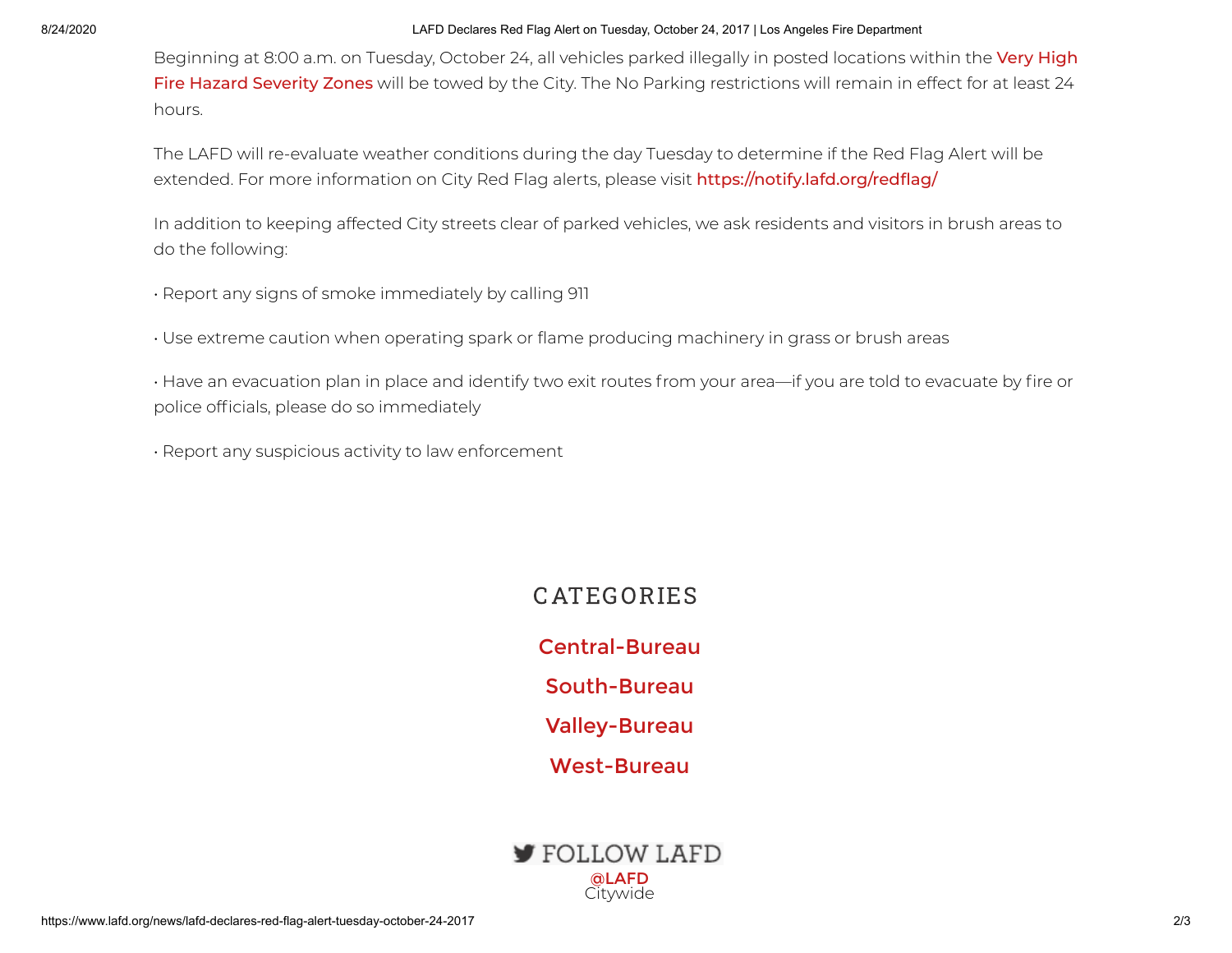#### 8/24/2020 LAFD Declares Red Flag Alert on Tuesday, October 24, 2017 | Los Angeles Fire Department

[Beginning at 8:00 a.m. on Tuesday, October 24, all vehicles parked illegally in posted locations within the](http://www.lafd.org/fire-prevention/brush/fire-zone) Very High Fire Hazard Severity Zones will be towed by the City. The No Parking restrictions will remain in effect for at least 24 hours.

The LAFD will re-evaluate weather conditions during the day Tuesday to determine if the Red Flag Alert will be extended. For more information on City Red Flag alerts, please visit https://notify.lafd.org/redflag/

In addition to keeping affected City streets clear of parked vehicles, we ask residents and visitors in brush areas to do the following:

- Report any signs of smoke immediately by calling 911
- Use extreme caution when operating spark or flame producing machinery in grass or brush areas
- Have an evacuation plan in place and identify two exit routes from your area—if you are told to evacuate by fire or police officials, please do so immediately
- Report any suspicious activity to law enforcement

### **CATEGORIES**

[Central-Bureau](https://www.lafd.org/news/central-bureau) [South-Bureau](https://www.lafd.org/news/south-bureau) [Valley-Bureau](https://www.lafd.org/news/valley-bureau) [West-Bureau](https://www.lafd.org/news/west-bureau)